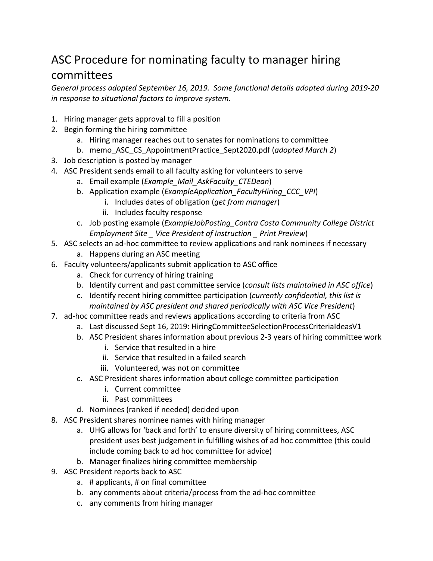## ASC Procedure for nominating faculty to manager hiring committees

*General process adopted September 16, 2019. Some functional details adopted during 2019-20 in response to situational factors to improve system.*

- 1. Hiring manager gets approval to fill a position
- 2. Begin forming the hiring committee
	- a. Hiring manager reaches out to senates for nominations to committee
	- b. memo\_ASC\_CS\_AppointmentPractice\_Sept2020.pdf (*adopted March 2*)
- 3. Job description is posted by manager
- 4. ASC President sends email to all faculty asking for volunteers to serve
	- a. Email example (*Example\_Mail\_AskFaculty\_CTEDean*)
	- b. Application example (*ExampleApplication\_FacultyHiring\_CCC\_VPI*)
		- i. Includes dates of obligation (*get from manager*)
		- ii. Includes faculty response
	- c. Job posting example (*ExampleJobPosting\_Contra Costa Community College District Employment Site \_ Vice President of Instruction \_ Print Preview*)
- 5. ASC selects an ad-hoc committee to review applications and rank nominees if necessary
	- a. Happens during an ASC meeting
- 6. Faculty volunteers/applicants submit application to ASC office
	- a. Check for currency of hiring training
	- b. Identify current and past committee service (*consult lists maintained in ASC office*)
	- c. Identify recent hiring committee participation (*currently confidential, this list is maintained by ASC president and shared periodically with ASC Vice President*)
- 7. ad-hoc committee reads and reviews applications according to criteria from ASC
	- a. Last discussed Sept 16, 2019: HiringCommitteeSelectionProcessCriteriaIdeasV1
	- b. ASC President shares information about previous 2-3 years of hiring committee work
		- i. Service that resulted in a hire
		- ii. Service that resulted in a failed search
		- iii. Volunteered, was not on committee
	- c. ASC President shares information about college committee participation
		- i. Current committee
		- ii. Past committees
	- d. Nominees (ranked if needed) decided upon
- 8. ASC President shares nominee names with hiring manager
	- a. UHG allows for 'back and forth' to ensure diversity of hiring committees, ASC president uses best judgement in fulfilling wishes of ad hoc committee (this could include coming back to ad hoc committee for advice)
	- b. Manager finalizes hiring committee membership
- 9. ASC President reports back to ASC
	- a. # applicants, # on final committee
	- b. any comments about criteria/process from the ad-hoc committee
	- c. any comments from hiring manager